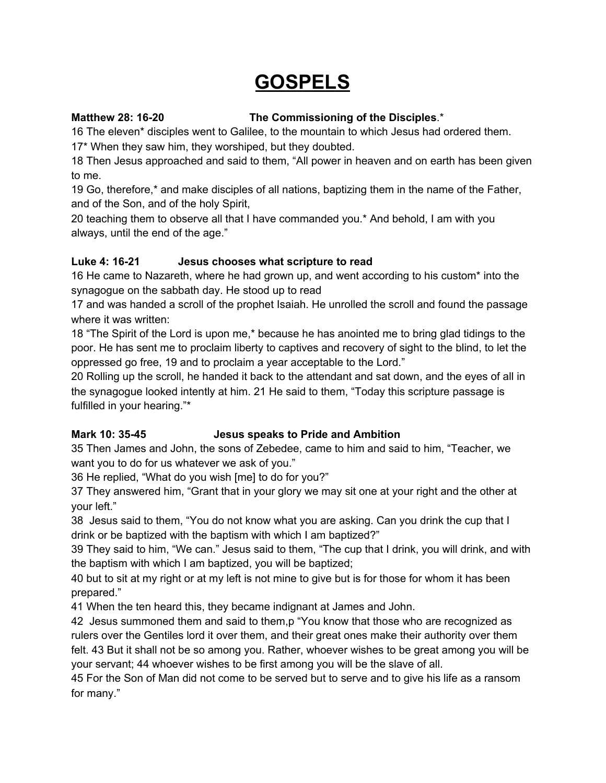# **GOSPELS**

## **Matthew 28: 16-20 The Commissioning of the Disciples**.\*

16 The eleven\* disciples went to Galilee, to the mountain to which Jesus had ordered them.

17\* When they saw him, they worshiped, but they doubted.

18 Then Jesus approached and said to them, "All power in heaven and on earth has been given to me.

19 Go, therefore,\* and make disciples of all nations, baptizing them in the name of the Father, and of the Son, and of the holy Spirit,

20 teaching them to observe all that I have commanded you.\* And behold, I am with you always, until the end of the age."

# **Luke 4: 16-21 Jesus chooses what scripture to read**

16 He came to Nazareth, where he had grown up, and went according to his custom\* into the synagogue on the sabbath day. He stood up to read

17 and was handed a scroll of the prophet Isaiah. He unrolled the scroll and found the passage where it was written:

18 "The Spirit of the Lord is upon me,\* because he has anointed me to bring glad tidings to the poor. He has sent me to proclaim liberty to captives and recovery of sight to the blind, to let the oppressed go free, 19 and to proclaim a year acceptable to the Lord."

20 Rolling up the scroll, he handed it back to the attendant and sat down, and the eyes of all in the synagogue looked intently at him. 21 He said to them, "Today this scripture passage is fulfilled in your hearing."\*

# **Mark 10: 35-45 Jesus speaks to Pride and Ambition**

35 Then James and John, the sons of Zebedee, came to him and said to him, "Teacher, we want you to do for us whatever we ask of you."

36 He replied, "What do you wish [me] to do for you?"

37 They answered him, "Grant that in your glory we may sit one at your right and the other at your left."

38 Jesus said to them, "You do not know what you are asking. Can you drink the cup that I drink or be baptized with the baptism with which I am baptized?"

39 They said to him, "We can." Jesus said to them, "The cup that I drink, you will drink, and with the baptism with which I am baptized, you will be baptized;

40 but to sit at my right or at my left is not mine to give but is for those for whom it has been prepared."

41 When the ten heard this, they became indignant at James and John.

42 Jesus summoned them and said to them,p "You know that those who are recognized as rulers over the Gentiles lord it over them, and their great ones make their authority over them felt. 43 But it shall not be so among you. Rather, whoever wishes to be great among you will be your servant; 44 whoever wishes to be first among you will be the slave of all.

45 For the Son of Man did not come to be served but to serve and to give his life as a ransom for many."